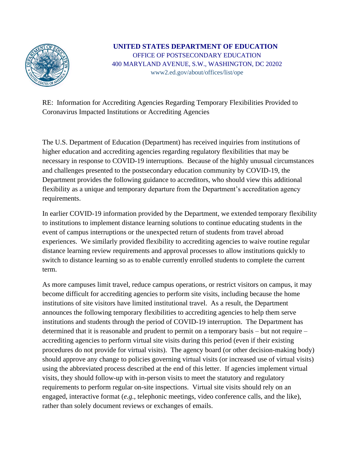

## **UNITED STATES DEPARTMENT OF EDUCATION** OFFICE OF POSTSECONDARY EDUCATION 400 MARYLAND AVENUE, S.W., WASHINGTON, DC 20202 www2.ed.gov/about/offices/list/ope

RE: Information for Accrediting Agencies Regarding Temporary Flexibilities Provided to Coronavirus Impacted Institutions or Accrediting Agencies

The U.S. Department of Education (Department) has received inquiries from institutions of higher education and accrediting agencies regarding regulatory flexibilities that may be necessary in response to COVID-19 interruptions. Because of the highly unusual circumstances and challenges presented to the postsecondary education community by COVID-19, the Department provides the following guidance to accreditors, who should view this additional flexibility as a unique and temporary departure from the Department's accreditation agency requirements.

In earlier COVID-19 information provided by the Department, we extended temporary flexibility to institutions to implement distance learning solutions to continue educating students in the event of campus interruptions or the unexpected return of students from travel abroad experiences. We similarly provided flexibility to accrediting agencies to waive routine regular distance learning review requirements and approval processes to allow institutions quickly to switch to distance learning so as to enable currently enrolled students to complete the current term.

As more campuses limit travel, reduce campus operations, or restrict visitors on campus, it may become difficult for accrediting agencies to perform site visits, including because the home institutions of site visitors have limited institutional travel. As a result, the Department announces the following temporary flexibilities to accrediting agencies to help them serve institutions and students through the period of COVID-19 interruption. The Department has determined that it is reasonable and prudent to permit on a temporary basis – but not require – accrediting agencies to perform virtual site visits during this period (even if their existing procedures do not provide for virtual visits). The agency board (or other decision-making body) should approve any change to policies governing virtual visits (or increased use of virtual visits) using the abbreviated process described at the end of this letter. If agencies implement virtual visits, they should follow-up with in-person visits to meet the statutory and regulatory requirements to perform regular on-site inspections. Virtual site visits should rely on an engaged, interactive format (*e.g.*, telephonic meetings, video conference calls, and the like), rather than solely document reviews or exchanges of emails.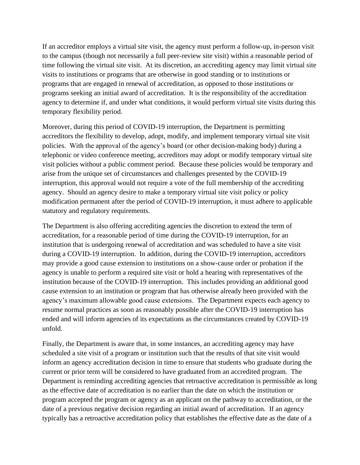If an accreditor employs a virtual site visit, the agency must perform a follow-up, in-person visit to the campus (though not necessarily a full peer-review site visit) within a reasonable period of time following the virtual site visit. At its discretion, an accrediting agency may limit virtual site visits to institutions or programs that are otherwise in good standing or to institutions or programs that are engaged in renewal of accreditation, as opposed to those institutions or programs seeking an initial award of accreditation. It is the responsibility of the accreditation agency to determine if, and under what conditions, it would perform virtual site visits during this temporary flexibility period.

Moreover, during this period of COVID-19 interruption, the Department is permitting accreditors the flexibility to develop, adopt, modify, and implement temporary virtual site visit policies. With the approval of the agency's board (or other decision-making body) during a telephonic or video conference meeting, accreditors may adopt or modify temporary virtual site visit policies without a public comment period. Because these policies would be temporary and arise from the unique set of circumstances and challenges presented by the COVID-19 interruption, this approval would not require a vote of the full membership of the accrediting agency. Should an agency desire to make a temporary virtual site visit policy or policy modification permanent after the period of COVID-19 interruption, it must adhere to applicable statutory and regulatory requirements.

The Department is also offering accrediting agencies the discretion to extend the term of accreditation, for a reasonable period of time during the COVID-19 interruption, for an institution that is undergoing renewal of accreditation and was scheduled to have a site visit during a COVID-19 interruption. In addition, during the COVID-19 interruption, accreditors may provide a good cause extension to institutions on a show-cause order or probation if the agency is unable to perform a required site visit or hold a hearing with representatives of the institution because of the COVID-19 interruption. This includes providing an additional good cause extension to an institution or program that has otherwise already been provided with the agency's maximum allowable good cause extensions. The Department expects each agency to resume normal practices as soon as reasonably possible after the COVID-19 interruption has ended and will inform agencies of its expectations as the circumstances created by COVID-19 unfold.

Finally, the Department is aware that, in some instances, an accrediting agency may have scheduled a site visit of a program or institution such that the results of that site visit would inform an agency accreditation decision in time to ensure that students who graduate during the current or prior term will be considered to have graduated from an accredited program. The Department is reminding accrediting agencies that retroactive accreditation is permissible as long as the effective date of accreditation is no earlier than the date on which the institution or program accepted the program or agency as an applicant on the pathway to accreditation, or the date of a previous negative decision regarding an initial award of accreditation. If an agency typically has a retroactive accreditation policy that establishes the effective date as the date of a